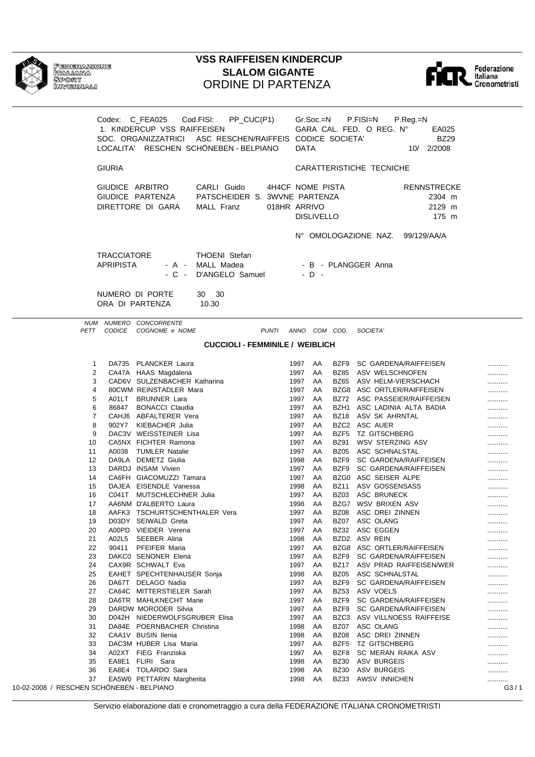| FEDR<br>ITAL<br>SPOI<br>≡ושמח |
|-------------------------------|
|                               |
|                               |

ERAZIONE<br>JANA<br>JRT<br>ERNALI

## **VSS RAIFFEISEN KINDERCUP SLALOM GIGANTE** ORDINE DI PARTENZA



|                                           | Codex: C_FEA025 Cod.FISI:                                | PP_CUC(P1)                             |                     |         | Gr.Soc.=N         |             | P.FISI=N                         | P.Reg.=N                     |      |
|-------------------------------------------|----------------------------------------------------------|----------------------------------------|---------------------|---------|-------------------|-------------|----------------------------------|------------------------------|------|
|                                           | 1. KINDERCUP VSS RAIFFEISEN                              |                                        |                     |         |                   |             |                                  |                              |      |
|                                           |                                                          |                                        |                     |         |                   |             | GARA CAL. FED. O REG. N°         | EA025                        |      |
|                                           | SOC. ORGANIZZATRICI ASC RESCHEN/RAIFFEIS CODICE SOCIETA' |                                        |                     |         |                   |             |                                  | <b>BZ29</b>                  |      |
|                                           | LOCALITA' RESCHEN SCHÖNEBEN - BELPIANO                   |                                        |                     | DATA    |                   |             |                                  | 10/ 2/2008                   |      |
|                                           |                                                          |                                        |                     |         |                   |             |                                  |                              |      |
| <b>GIURIA</b>                             |                                                          |                                        |                     |         |                   |             | CARATTERISTICHE TECNICHE         |                              |      |
|                                           | GIUDICE ARBITRO                                          | CARLI Guido                            | 4H4CF NOME PISTA    |         |                   |             |                                  | <b>RENNSTRECKE</b>           |      |
|                                           | GIUDICE PARTENZA                                         | PATSCHEIDER S. 3WVNE PARTENZA          |                     |         |                   |             |                                  | 2304 m                       |      |
|                                           |                                                          |                                        |                     |         |                   |             |                                  |                              |      |
|                                           | DIRETTORE DI GARA                                        | <b>MALL Franz</b>                      | 018HR ARRIVO        |         |                   |             |                                  | 2129 m                       |      |
|                                           |                                                          |                                        |                     |         | <b>DISLIVELLO</b> |             |                                  | 175 m                        |      |
|                                           |                                                          |                                        |                     |         |                   |             |                                  |                              |      |
|                                           |                                                          |                                        |                     |         |                   |             | N° OMOLOGAZIONE NAZ. 99/129/AA/A |                              |      |
|                                           |                                                          |                                        |                     |         |                   |             |                                  |                              |      |
|                                           | <b>TRACCIATORE</b>                                       | <b>THOENI</b> Stefan                   |                     |         |                   |             |                                  |                              |      |
| <b>APRIPISTA</b>                          |                                                          | - A - MALL Madea                       |                     |         |                   |             | - B - PLANGGER Anna              |                              |      |
|                                           |                                                          | - C - D'ANGELO Samuel                  |                     |         | $-D -$            |             |                                  |                              |      |
|                                           |                                                          |                                        |                     |         |                   |             |                                  |                              |      |
|                                           | NUMERO DI PORTE                                          | 30 30                                  |                     |         |                   |             |                                  |                              |      |
|                                           | ORA DI PARTENZA                                          | 10.30                                  |                     |         |                   |             |                                  |                              |      |
|                                           |                                                          |                                        |                     |         |                   |             |                                  |                              |      |
|                                           | NUM NUMERO CONCORRENTE                                   |                                        |                     |         |                   |             |                                  |                              |      |
|                                           | PETT CODICE COGNOME e NOME                               |                                        | PUNTI ANNO COM COD. |         |                   |             | SOCIETA'                         |                              |      |
|                                           |                                                          | <b>CUCCIOLI - FEMMINILE / WEIBLICH</b> |                     |         |                   |             |                                  |                              |      |
|                                           |                                                          |                                        |                     |         |                   |             |                                  |                              |      |
| $\mathbf 1$                               | DA735 PLANCKER Laura                                     |                                        |                     | 1997 AA |                   |             | BZF9 SC GARDENA/RAIFFEISEN       |                              |      |
| 2                                         | CA47A HAAS Magdalena                                     |                                        |                     | 1997 AA |                   |             | BZ85 ASV WELSCHNOFEN             |                              |      |
| 3                                         | CAD6V SULZENBACHER Katharina                             |                                        |                     | 1997    | AA                |             | BZ65 ASV HELM-VIERSCHACH         |                              |      |
| 4                                         | 80CWM REINSTADLER Mara                                   |                                        |                     | 1997    | AA                |             | BZG8 ASC ORTLER/RAIFFEISEN       |                              |      |
| 5                                         | A01LT BRUNNER Lara                                       |                                        |                     | 1997    | AA                |             |                                  | BZ72 ASC PASSEIER/RAIFFEISEN |      |
| 6                                         | 86847 BONACCI Claudia                                    |                                        |                     | 1997    | AA                |             | BZH1 ASC LADINIA ALTA BADIA      |                              |      |
| 7                                         | CAHJ6 ABFALTERER Vera                                    |                                        |                     | 1997    | AA                |             | BZ18 ASV SK AHRNTAL              |                              |      |
| 8                                         | 902Y7 KIEBACHER Julia                                    |                                        |                     | 1997    | AA                |             | BZC2 ASC AUER                    |                              |      |
| 9                                         | DAC3V WEISSTEINER Lisa                                   |                                        |                     | 1997    | AA                |             | BZF5 TZ GITSCHBERG               |                              |      |
| 10                                        | CA5NX FICHTER Ramona                                     |                                        |                     | 1997    | AA                | BZ91        | WSV STERZING ASV                 |                              |      |
| 11                                        | A0038 TUMLER Natalie                                     |                                        |                     | 1997    | AA                |             | BZ05 ASC SCHNALSTAL              |                              |      |
| 12                                        | DA9LA DEMETZ Giulia                                      |                                        |                     | 1998    | AA                |             | BZF9 SC GARDENA/RAIFFEISEN       |                              | <br> |
| 13                                        | DARDJ INSAM Vivien                                       |                                        |                     | 1997    | AA                |             | BZF9 SC GARDENA/RAIFFEISEN       |                              |      |
| 14                                        | CA6FH GIACOMUZZI Tamara                                  |                                        |                     | 1997    | AA                |             | BZG0 ASC SEISER ALPE             |                              |      |
| 15                                        | DAJEA EISENDLE Vanessa                                   |                                        |                     | 1998    | AA                |             | BZ11 ASV GOSSENSASS              |                              |      |
| 16                                        | C041T MUTSCHLECHNER Julia                                |                                        |                     | 1997    | AA                |             | BZ03 ASC BRUNECK                 |                              |      |
| 17                                        | AA6NM D'ALBERTO Laura                                    |                                        |                     | 1998    | AA                |             | BZG7 WSV BRIXEN ASV              |                              |      |
| 18                                        | AAFK3 TSCHURTSCHENTHALER Vera                            |                                        |                     | 1997 AA |                   | <b>BZ08</b> | ASC DREI ZINNEN                  |                              |      |
| 19                                        | D03DY SEIWALD Greta                                      |                                        |                     | 1997    | AA                | BZ07        | ASC OLANG                        |                              |      |
| 20                                        | A00PD VIEIDER Verena                                     |                                        |                     | 1997    | AA                | BZ32        | ASC EGGEN                        |                              |      |
| A02L5<br>21                               | SEEBER Alina                                             |                                        |                     | 1998    | AA                |             | BZD2 ASV REIN                    |                              |      |
| 22<br>90411                               | PFEIFER Maria                                            |                                        |                     | 1997    | AA                |             | BZG8 ASC ORTLER/RAIFFEISEN       |                              |      |
| 23                                        | DAKCO SENONER Elena                                      |                                        |                     | 1997    | AA                | BZF9        | <b>SC GARDENA/RAIFFEISEN</b>     |                              |      |
| 24                                        | CAX9R SCHWALT Eva                                        |                                        |                     | 1997    | AA                | BZ17        |                                  | ASV PRAD RAIFFEISEN/WER      |      |
| 25                                        | EAHET SPECHTENHAUSER Sonja                               |                                        |                     | 1998    | AA                | BZ05        | ASC SCHNALSTAL                   |                              |      |
| 26                                        | DA67T DELAGO Nadia                                       |                                        |                     | 1997    | AA                | BZF9        | SC GARDENA/RAIFFEISEN            |                              |      |
| 27                                        | CA64C MITTERSTIELER Sarah                                |                                        |                     | 1997    | AA                | BZ53        | ASV VOELS                        |                              |      |
| 28                                        | DA6TR MAHLKNECHT Marie                                   |                                        |                     | 1997    | AA                | BZF9        | SC GARDENA/RAIFFEISEN            |                              |      |
| 29                                        | DARDW MORODER Silvia                                     |                                        |                     | 1997    | AA                | BZF9        | SC GARDENA/RAIFFEISEN            |                              |      |
| 30                                        | D042H NIEDERWOLFSGRUBER Elisa                            |                                        |                     | 1997    | AA                |             | BZC3 ASV VILLNOESS RAIFFEISE     |                              |      |
| 31                                        | DA84E POERNBACHER Christina                              |                                        |                     | 1998    | AA                | BZ07        | ASC OLANG                        |                              |      |
| 32                                        | CAA1V BUSIN Ilenia                                       |                                        |                     | 1998    | AA                | BZ08        | ASC DREI ZINNEN                  |                              |      |
| 33                                        | DAC3M HUBER Lisa Maria                                   |                                        |                     | 1997    | AA                | BZF5        | <b>TZ GITSCHBERG</b>             |                              |      |
| 34                                        | A02XT FIEG Franziska                                     |                                        |                     | 1997    | AA                | BZF8        | SC MERAN RAIKA ASV               |                              |      |
| 35                                        | EA8E1 FLIRI Sara                                         |                                        |                     | 1998    | AA                | <b>BZ30</b> | ASV BURGEIS                      |                              |      |
| 36                                        | EA8E4 TOLARDO Sara                                       |                                        |                     | 1998    | AA                | BZ30        | ASV BURGEIS                      |                              |      |
| 37                                        | EA5W0 PETTARIN Margherita                                |                                        |                     | 1998    | AA                | BZ33        | <b>AWSV INNICHEN</b>             |                              |      |
| 10-02-2008 / RESCHEN SCHÖNEBEN - BELPIANO |                                                          |                                        |                     |         |                   |             |                                  |                              | G3/1 |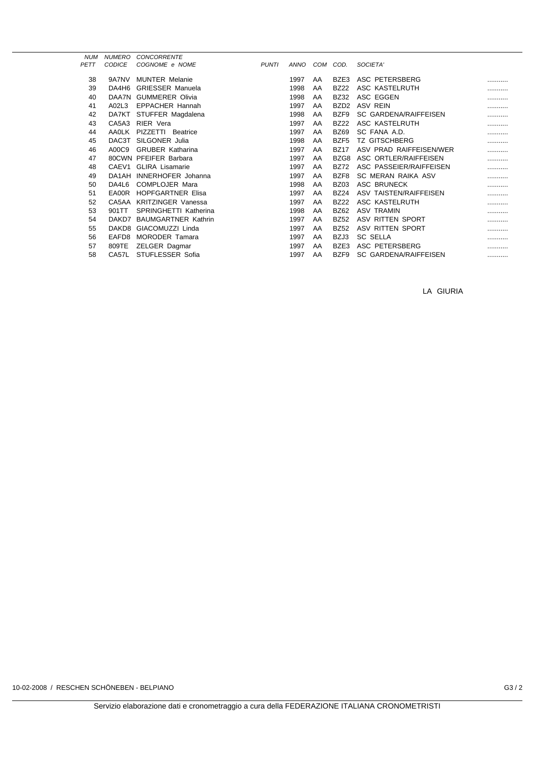| <b>NUM</b>  | <b>NUMERO</b>     | <b>CONCORRENTE</b>         |              |             |     |                  |                              |   |
|-------------|-------------------|----------------------------|--------------|-------------|-----|------------------|------------------------------|---|
| <b>PETT</b> | <b>CODICE</b>     | COGNOME e NOME             | <b>PUNTI</b> | <b>ANNO</b> | COM | COD.             | SOCIETA'                     |   |
| 38          | 9A7NV             | <b>MUNTER Melanie</b>      |              | 1997        | AA  | BZE3             | ASC PETERSBERG               |   |
|             |                   |                            |              |             |     |                  |                              |   |
| 39          | DA4H6             | <b>GRIESSER Manuela</b>    |              | 1998        | AA  | <b>BZ22</b>      | ASC KASTELRUTH               | . |
| 40          | DAA7N             | <b>GUMMERER Olivia</b>     |              | 1998        | AA  | <b>BZ32</b>      | ASC EGGEN                    | . |
| 41          | A02L3             | <b>EPPACHER Hannah</b>     |              | 1997        | AA  | BZD <sub>2</sub> | <b>ASV REIN</b>              | . |
| 42          | DA7KT             | STUFFER Magdalena          |              | 1998        | AA  | BZF9             | SC GARDENA/RAIFFEISEN        |   |
| 43          | CA5A3             | RIER Vera                  |              | 1997        | AA  | <b>BZ22</b>      | ASC KASTELRUTH               | . |
| 44          | AA0LK             | PIZZETTI Beatrice          |              | 1997        | AA  | <b>BZ69</b>      | SC FANA A.D.                 | . |
| 45          | DAC3T             | SILGONER Julia             |              | 1998        | AA  | BZF <sub>5</sub> | <b>TZ GITSCHBERG</b>         | . |
| 46          | A00C9             | <b>GRUBER Katharina</b>    |              | 1997        | AA  | <b>BZ17</b>      | ASV PRAD RAIFFEISEN/WER      | . |
| 47          |                   | 80CWN PFEIFER Barbara      |              | 1997        | AA  | BZG8             | ASC ORTLER/RAIFFEISEN        |   |
| 48          | CAEV1             | <b>GLIRA Lisamarie</b>     |              | 1997        | AA  | <b>BZ72</b>      | ASC PASSEIER/RAIFFEISEN      | . |
| 49          | DA1AH             | INNERHOFER Johanna         |              | 1997        | AA  | BZF8             | SC MERAN RAIKA ASV           | . |
| 50          | DA4L6             | COMPLOJER Mara             |              | 1998        | AA  | <b>BZ03</b>      | ASC BRUNECK                  |   |
| 51          | EA00R             | <b>HOPFGARTNER Elisa</b>   |              | 1997        | AA  | <b>BZ24</b>      | ASV TAISTEN/RAIFFEISEN       | . |
| 52          | CA5AA             | <b>KRITZINGER Vanessa</b>  |              | 1997        | AA  | <b>BZ22</b>      | ASC KASTELRUTH               | . |
| 53          | 901TT             | SPRINGHETTI Katherina      |              | 1998        | AA  | <b>BZ62</b>      | <b>ASV TRAMIN</b>            | . |
| 54          | DAKD7             | <b>BAUMGARTNER Kathrin</b> |              | 1997        | AA  | <b>BZ52</b>      | ASV RITTEN SPORT             |   |
| 55          | DAKD <sub>8</sub> | GIACOMUZZI Linda           |              | 1997        | AA  | <b>BZ52</b>      | ASV RITTEN SPORT             | . |
| 56          | EAFD <sub>8</sub> | <b>MORODER Tamara</b>      |              | 1997        | AA  | BZJ3             | <b>SC SELLA</b>              | . |
| 57          | 809TE             | ZELGER Dagmar              |              | 1997        | AA  | BZE3             | ASC PETERSBERG               | . |
| 58          | CA57L             | STUFLESSER Sofia           |              | 1997        | AA  | BZF9             | <b>SC GARDENA/RAIFFEISEN</b> |   |
|             |                   |                            |              |             |     |                  |                              |   |

LA GIURIA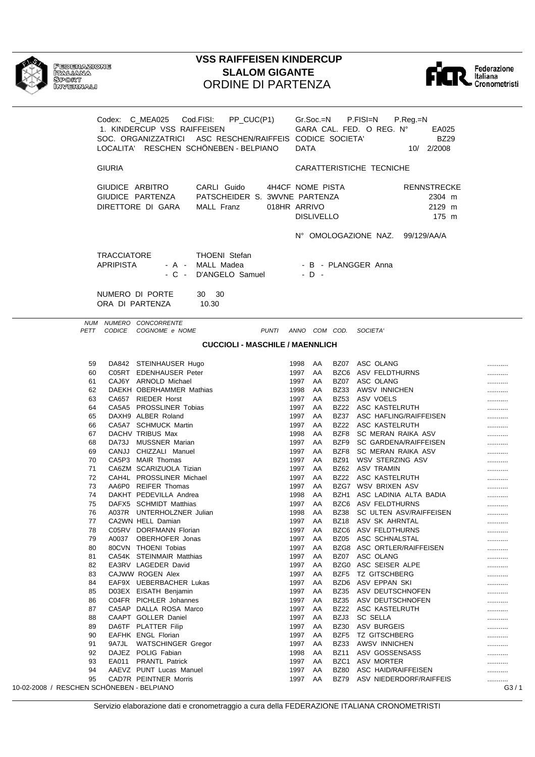

Federazione<br>Italiana<br>Sport<br>Invernali

## **VSS RAIFFEISEN KINDERCUP SLALOM GIGANTE ORDINE DI PARTENZA**



|                              | Codex: C_MEA025 Cod.FISI:<br>1. KINDERCUP VSS RAIFFEISEN | PP_CUC(P1)<br>SOC. ORGANIZZATRICI ASC RESCHEN/RAIFFEIS CODICE SOCIETA'<br>LOCALITA' RESCHEN SCHÖNEBEN - BELPIANO |                                  | <b>DATA</b>     |                   |                     | Gr.Soc.=N P.FISI=N<br>P.Reg.=N<br>GARA CAL. FED. O REG. Nº<br>EA025<br><b>BZ29</b><br>10/ 2/2008 |               |
|------------------------------|----------------------------------------------------------|------------------------------------------------------------------------------------------------------------------|----------------------------------|-----------------|-------------------|---------------------|--------------------------------------------------------------------------------------------------|---------------|
|                              |                                                          |                                                                                                                  |                                  |                 |                   |                     |                                                                                                  |               |
| <b>GIURIA</b>                |                                                          |                                                                                                                  |                                  |                 |                   |                     | CARATTERISTICHE TECNICHE                                                                         |               |
|                              | GIUDICE ARBITRO<br>DIRETTORE DI GARA                     | CARLI Guido<br>GIUDICE PARTENZA PATSCHEIDER S. 3WVNE PARTENZA<br>MALL Franz                                      | 4H4CF NOME PISTA<br>018HR ARRIVO |                 | <b>DISLIVELLO</b> |                     | <b>RENNSTRECKE</b><br>2304 m<br>2129 m<br>175 m                                                  |               |
|                              |                                                          |                                                                                                                  |                                  |                 |                   |                     | N° OMOLOGAZIONE NAZ. 99/129/AA/A                                                                 |               |
| <b>APRIPISTA</b>             | <b>TRACCIATORE</b>                                       | <b>THOENI</b> Stefan<br>- A - MALL Madea<br>- C - D'ANGELO Samuel                                                |                                  |                 | $-D -$            |                     | - B - PLANGGER Anna                                                                              |               |
|                              | NUMERO DI PORTE<br>ORA DI PARTENZA                       | 30 30<br>10.30                                                                                                   |                                  |                 |                   |                     |                                                                                                  |               |
|                              | NUM NUMERO CONCORRENTE                                   |                                                                                                                  |                                  |                 |                   |                     |                                                                                                  |               |
|                              | PETT CODICE COGNOME e NOME                               | PUNTI ANNO COM COD. SOCIETA'                                                                                     |                                  |                 |                   |                     |                                                                                                  |               |
|                              |                                                          | <b>CUCCIOLI - MASCHILE / MAENNLICH</b>                                                                           |                                  |                 |                   |                     |                                                                                                  |               |
| 59                           | DA842 STEINHAUSER Hugo                                   |                                                                                                                  |                                  | 1998 AA         |                   |                     | BZ07 ASC OLANG                                                                                   | .             |
| 60                           | C05RT EDENHAUSER Peter                                   |                                                                                                                  |                                  | 1997 AA         |                   |                     | BZC6 ASV FELDTHURNS                                                                              |               |
| 61                           | CAJ6Y ARNOLD Michael                                     |                                                                                                                  |                                  | 1997 AA         |                   |                     | BZ07 ASC OLANG                                                                                   |               |
| 62                           | DAEKH OBERHAMMER Mathias                                 |                                                                                                                  |                                  | 1998            | AA                |                     | BZ33 AWSV INNICHEN                                                                               |               |
| 63                           | CA657 RIEDER Horst                                       |                                                                                                                  |                                  | 1997            | AA                |                     | BZ53 ASV VOELS                                                                                   |               |
| 64                           | CA5A5 PROSSLINER Tobias                                  |                                                                                                                  |                                  | 1997            | AA                |                     | BZ22 ASC KASTELRUTH                                                                              |               |
| 65                           | DAXH9 ALBER Roland                                       |                                                                                                                  |                                  | 1997            | AA                |                     | BZ37 ASC HAFLING/RAIFFEISEN                                                                      |               |
| 66                           | CA5A7 SCHMUCK Martin                                     |                                                                                                                  |                                  | 1997            | AA                |                     | BZ22 ASC KASTELRUTH                                                                              |               |
| 67                           | DACHV TRIBUS Max                                         |                                                                                                                  |                                  | 1998            | AA                |                     | BZF8 SC MERAN RAIKA ASV                                                                          |               |
| 68                           | DA73J MUSSNER Marian                                     |                                                                                                                  |                                  | 1997            | AA                |                     | BZF9 SC GARDENA/RAIFFEISEN                                                                       |               |
| 69                           | CANJJ CHIZZALI Manuel                                    |                                                                                                                  |                                  | 1997            | AA                |                     | BZF8 SC MERAN RAIKA ASV                                                                          |               |
| 70                           | CA5P3 MAIR Thomas                                        |                                                                                                                  |                                  | 1997 AA         |                   | BZ91                | WSV STERZING ASV                                                                                 |               |
| 71                           | CA6ZM SCARIZUOLA Tizian                                  |                                                                                                                  |                                  | 1997            | AA                |                     | BZ62 ASV TRAMIN                                                                                  |               |
| 72                           | CAH4L PROSSLINER Michael                                 |                                                                                                                  |                                  | 1997            | AA                |                     | BZ22 ASC KASTELRUTH                                                                              |               |
| 73<br>74                     | AA6P0 REIFER Thomas<br>DAKHT PEDEVILLA Andrea            |                                                                                                                  |                                  | 1997 AA         | AA                |                     | BZG7 WSV BRIXEN ASV<br>BZH1 ASC LADINIA ALTA BADIA                                               |               |
| 75                           | DAFX5 SCHMIDT Matthias                                   |                                                                                                                  |                                  | 1998<br>1997 AA |                   |                     | BZC6 ASV FELDTHURNS                                                                              |               |
| 76                           | A037R UNTERHOLZNER Julian                                |                                                                                                                  |                                  |                 |                   |                     | 1998 AA BZ38 SC ULTEN ASV/RAIFFEISEN                                                             |               |
| 77                           | CA2WN HELL Damian                                        |                                                                                                                  |                                  | 1997            | AA                | BZ18                | ASV SK AHRNTAL                                                                                   | <br>          |
| 78                           | C05RV DORFMANN Florian                                   |                                                                                                                  |                                  | 1997            | AA                |                     | BZC6 ASV FELDTHURNS                                                                              |               |
| A0037<br>79                  | OBERHOFER Jonas                                          |                                                                                                                  |                                  | 1997            | AA                | <b>BZ05</b>         | ASC SCHNALSTAL                                                                                   | .             |
| 80                           | 80CVN THOENI Tobias                                      |                                                                                                                  |                                  | 1997            | AA                |                     | BZG8 ASC ORTLER/RAIFFEISEN                                                                       |               |
| 81                           | CA54K STEINMAIR Matthias                                 |                                                                                                                  |                                  | 1997            | AA                | BZ07                | ASC OLANG                                                                                        |               |
| 82                           | EA3RV LAGEDER David                                      |                                                                                                                  |                                  | 1997            | AA                |                     | BZG0 ASC SEISER ALPE                                                                             |               |
| 83                           | CAJWW ROGEN Alex                                         |                                                                                                                  |                                  | 1997            | AA                | BZF5                | <b>TZ GITSCHBERG</b>                                                                             |               |
| 84                           | EAF9X UEBERBACHER Lukas                                  |                                                                                                                  |                                  | 1997            | AA                |                     | BZD6 ASV EPPAN SKI                                                                               |               |
| 85                           | D03EX EISATH Benjamin                                    |                                                                                                                  |                                  | 1997            | AA                | <b>BZ35</b>         | ASV DEUTSCHNOFEN                                                                                 |               |
| 86                           | C04FR PICHLER Johannes                                   |                                                                                                                  |                                  | 1997            | AA                | <b>BZ35</b>         | ASV DEUTSCHNOFEN                                                                                 |               |
| 87                           | CA5AP DALLA ROSA Marco                                   |                                                                                                                  |                                  | 1997            | AA                | BZ22                | ASC KASTELRUTH                                                                                   |               |
| 88                           | CAAPT GOLLER Daniel                                      |                                                                                                                  |                                  | 1997            | AA                | BZJ3                | SC SELLA                                                                                         |               |
| 89                           | DA6TF PLATTER Filip                                      |                                                                                                                  |                                  | 1997            | AA                | <b>BZ30</b>         | ASV BURGEIS                                                                                      |               |
| 90                           | EAFHK ENGL Florian                                       |                                                                                                                  |                                  | 1997            | AA                | BZF5                | <b>TZ GITSCHBERG</b>                                                                             |               |
| 91                           | 9A7JL WATSCHINGER Gregor                                 |                                                                                                                  |                                  | 1997            | AA                | <b>BZ33</b>         | AWSV INNICHEN                                                                                    |               |
| 92                           | DAJEZ POLIG Fabian                                       |                                                                                                                  |                                  | 1998            | AA                | <b>BZ11</b>         | ASV GOSSENSASS                                                                                   |               |
| 93                           | EA011 PRANTL Patrick                                     |                                                                                                                  |                                  | 1997            | AA                | BZC1                | ASV MORTER                                                                                       |               |
| 94<br>95                     | AAEVZ PUNT Lucas Manuel<br>CAD7R PEINTNER Morris         |                                                                                                                  |                                  | 1997<br>1997    | AA<br>AA          | BZ80<br><b>BZ79</b> | ASC HAID/RAIFFEISEN<br>ASV NIEDERDORF/RAIFFEIS                                                   |               |
| ESCHEN SCHÖNEREN - REI PIANO |                                                          |                                                                                                                  |                                  |                 |                   |                     |                                                                                                  | <br><b>G3</b> |

10-02-2008 / RESCHEN SCHÖNEBEN - BE LPIANC